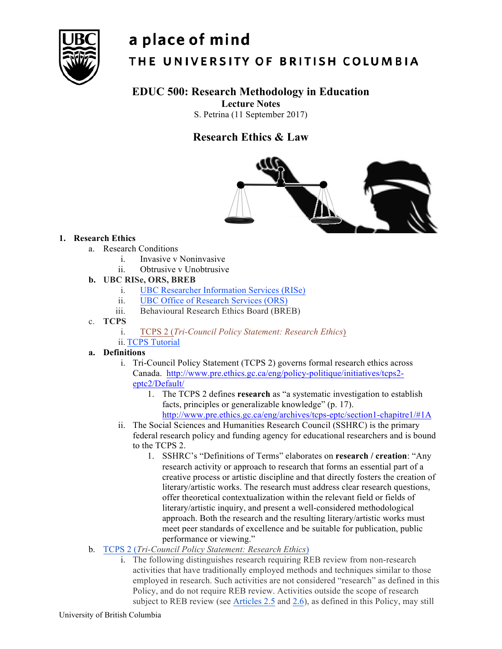

# a place of mind THE UNIVERSITY OF BRITISH COLUMBIA

# **EDUC 500: Research Methodology in Education**

**Lecture Notes**

S. Petrina (11 September 2017)

# **Research Ethics & Law**



# **1. Research Ethics**

- a. Research Conditions
	- i. Invasive v Noninvasive
	- ii. Obtrusive v Unobtrusive

# **b. UBC RISe, ORS, BREB**

- i. UBC Researcher Information Services (RISe)
- ii. UBC Office of Research Services (ORS)
- iii. Behavioural Research Ethics Board (BREB)
- c. **TCPS**
	- i. TCPS 2 (*Tri-Council Policy Statement: Research Ethics*)
	- ii. TCPS Tutorial

# **a. Definitions**

- i. Tri-Council Policy Statement (TCPS 2) governs formal research ethics across Canada. http://www.pre.ethics.gc.ca/eng/policy-politique/initiatives/tcps2 eptc2/Default/
	- 1. The TCPS 2 defines **research** as "a systematic investigation to establish facts, principles or generalizable knowledge" (p. 17). http://www.pre.ethics.gc.ca/eng/archives/tcps-eptc/section1-chapitre1/#1A
- ii. The Social Sciences and Humanities Research Council (SSHRC) is the primary federal research policy and funding agency for educational researchers and is bound to the TCPS 2.
	- 1. SSHRC's "Definitions of Terms" elaborates on **research / creation**: "Any research activity or approach to research that forms an essential part of a creative process or artistic discipline and that directly fosters the creation of literary/artistic works. The research must address clear research questions, offer theoretical contextualization within the relevant field or fields of literary/artistic inquiry, and present a well-considered methodological approach. Both the research and the resulting literary/artistic works must meet peer standards of excellence and be suitable for publication, public performance or viewing."
- b. TCPS 2 (*Tri-Council Policy Statement: Research Ethics*)
	- i. The following distinguishes research requiring REB review from non-research activities that have traditionally employed methods and techniques similar to those employed in research. Such activities are not considered "research" as defined in this Policy, and do not require REB review. Activities outside the scope of research subject to REB review (see Articles 2.5 and 2.6), as defined in this Policy, may still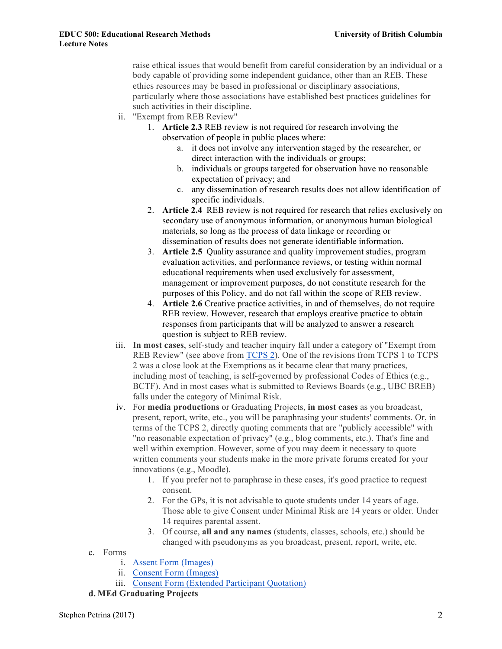raise ethical issues that would benefit from careful consideration by an individual or a body capable of providing some independent guidance, other than an REB. These ethics resources may be based in professional or disciplinary associations, particularly where those associations have established best practices guidelines for such activities in their discipline.

- ii. "Exempt from REB Review"
	- 1. **Article 2.3** REB review is not required for research involving the observation of people in public places where:
		- a. it does not involve any intervention staged by the researcher, or direct interaction with the individuals or groups;
		- b. individuals or groups targeted for observation have no reasonable expectation of privacy; and
		- c. any dissemination of research results does not allow identification of specific individuals.
	- 2. **Article 2.4** REB review is not required for research that relies exclusively on secondary use of anonymous information, or anonymous human biological materials, so long as the process of data linkage or recording or dissemination of results does not generate identifiable information.
	- 3. **Article 2.5** Quality assurance and quality improvement studies, program evaluation activities, and performance reviews, or testing within normal educational requirements when used exclusively for assessment, management or improvement purposes, do not constitute research for the purposes of this Policy, and do not fall within the scope of REB review.
	- 4. **Article 2.6** Creative practice activities, in and of themselves, do not require REB review. However, research that employs creative practice to obtain responses from participants that will be analyzed to answer a research question is subject to REB review.
- iii. **In most cases**, self-study and teacher inquiry fall under a category of "Exempt from REB Review" (see above from TCPS 2). One of the revisions from TCPS 1 to TCPS 2 was a close look at the Exemptions as it became clear that many practices, including most of teaching, is self-governed by professional Codes of Ethics (e.g., BCTF). And in most cases what is submitted to Reviews Boards (e.g., UBC BREB) falls under the category of Minimal Risk.
- iv. For **media productions** or Graduating Projects, **in most cases** as you broadcast, present, report, write, etc., you will be paraphrasing your students' comments. Or, in terms of the TCPS 2, directly quoting comments that are "publicly accessible" with "no reasonable expectation of privacy" (e.g., blog comments, etc.). That's fine and well within exemption. However, some of you may deem it necessary to quote written comments your students make in the more private forums created for your innovations (e.g., Moodle).
	- 1. If you prefer not to paraphrase in these cases, it's good practice to request consent.
	- 2. For the GPs, it is not advisable to quote students under 14 years of age. Those able to give Consent under Minimal Risk are 14 years or older. Under 14 requires parental assent.
	- 3. Of course, **all and any names** (students, classes, schools, etc.) should be changed with pseudonyms as you broadcast, present, report, write, etc.
- c. Forms
	- i. Assent Form (Images)
	- ii. Consent Form (Images)
	- iii. Consent Form (Extended Participant Quotation)

#### **d. MEd Graduating Projects**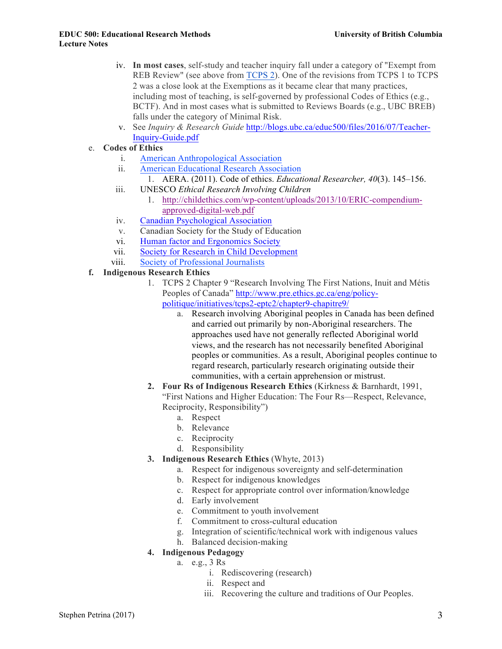- iv. **In most cases**, self-study and teacher inquiry fall under a category of "Exempt from REB Review" (see above from TCPS 2). One of the revisions from TCPS 1 to TCPS 2 was a close look at the Exemptions as it became clear that many practices, including most of teaching, is self-governed by professional Codes of Ethics (e.g., BCTF). And in most cases what is submitted to Reviews Boards (e.g., UBC BREB) falls under the category of Minimal Risk.
- v. See *Inquiry & Research Guide* http://blogs.ubc.ca/educ500/files/2016/07/Teacher-Inquiry-Guide.pdf
- e. **Codes of Ethics**
	- i. American Anthropological Association
	- ii. American Educational Research Association
		- 1. AERA. (2011). Code of ethics. *Educational Researcher, 40*(3). 145–156.
	- iii. UNESCO *Ethical Research Involving Children*
		- 1. http://childethics.com/wp-content/uploads/2013/10/ERIC-compendiumapproved-digital-web.pdf
	- iv. Canadian Psychological Association
	- v. Canadian Society for the Study of Education
	- vi. Human factor and Ergonomics Society
	- vii. Society for Research in Child Development
	- viii. Society of Professional Journalists
- **f. Indigenous Research Ethics**
	- 1. TCPS 2 Chapter 9 "Research Involving The First Nations, Inuit and Métis Peoples of Canada" http://www.pre.ethics.gc.ca/eng/policypolitique/initiatives/tcps2-eptc2/chapter9-chapitre9/
		- a. Research involving Aboriginal peoples in Canada has been defined and carried out primarily by non-Aboriginal researchers. The approaches used have not generally reflected Aboriginal world views, and the research has not necessarily benefited Aboriginal peoples or communities. As a result, Aboriginal peoples continue to regard research, particularly research originating outside their communities, with a certain apprehension or mistrust.
	- **2. Four Rs of Indigenous Research Ethics** (Kirkness & Barnhardt, 1991, "First Nations and Higher Education: The Four Rs—Respect, Relevance, Reciprocity, Responsibility")
		- a. Respect
		- b. Relevance
		- c. Reciprocity
		- d. Responsibility
	- **3. Indigenous Research Ethics** (Whyte, 2013)
		- a. Respect for indigenous sovereignty and self-determination
		- b. Respect for indigenous knowledges
		- c. Respect for appropriate control over information/knowledge
		- d. Early involvement
		- e. Commitment to youth involvement
		- f. Commitment to cross-cultural education
		- g. Integration of scientific/technical work with indigenous values
		- h. Balanced decision-making
	- **4. Indigenous Pedagogy**
		- a. e.g., 3 Rs
			- i. Rediscovering (research)
			- ii. Respect and
			- iii. Recovering the culture and traditions of Our Peoples.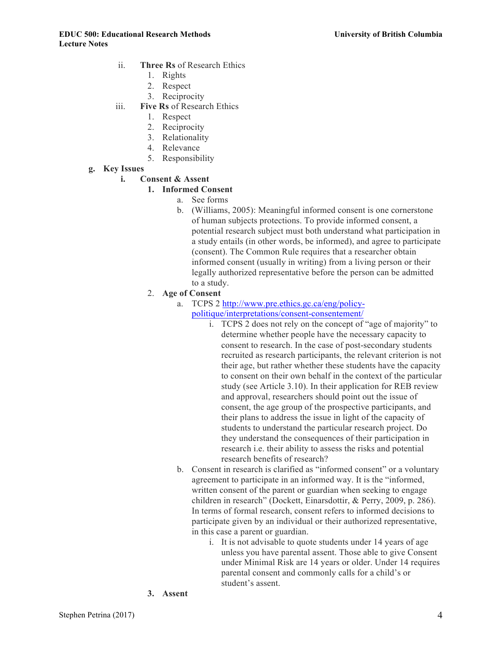- ii. **Three Rs** of Research Ethics
	- 1. Rights
	- 2. Respect
	- 3. Reciprocity
- iii. **Five Rs** of Research Ethics
	- 1. Respect
	- 2. Reciprocity
	- 3. Relationality
	- 4. Relevance
	- 5. Responsibility
- **g. Key Issues**

#### **i. Consent & Assent**

#### **1. Informed Consent**

- a. See forms
- b. (Williams, 2005): Meaningful informed consent is one cornerstone of human subjects protections. To provide informed consent, a potential research subject must both understand what participation in a study entails (in other words, be informed), and agree to participate (consent). The Common Rule requires that a researcher obtain informed consent (usually in writing) from a living person or their legally authorized representative before the person can be admitted to a study.
- 2. **Age of Consent**
	- a. TCPS 2 http://www.pre.ethics.gc.ca/eng/policypolitique/interpretations/consent-consentement/
		- i. TCPS 2 does not rely on the concept of "age of majority" to determine whether people have the necessary capacity to consent to research. In the case of post-secondary students recruited as research participants, the relevant criterion is not their age, but rather whether these students have the capacity to consent on their own behalf in the context of the particular study (see Article 3.10). In their application for REB review and approval, researchers should point out the issue of consent, the age group of the prospective participants, and their plans to address the issue in light of the capacity of students to understand the particular research project. Do they understand the consequences of their participation in research i.e. their ability to assess the risks and potential research benefits of research?
	- b. Consent in research is clarified as "informed consent" or a voluntary agreement to participate in an informed way. It is the "informed, written consent of the parent or guardian when seeking to engage children in research" (Dockett, Einarsdottir, & Perry, 2009, p. 286). In terms of formal research, consent refers to informed decisions to participate given by an individual or their authorized representative, in this case a parent or guardian.
		- i. It is not advisable to quote students under 14 years of age unless you have parental assent. Those able to give Consent under Minimal Risk are 14 years or older. Under 14 requires parental consent and commonly calls for a child's or student's assent.
- **3. Assent**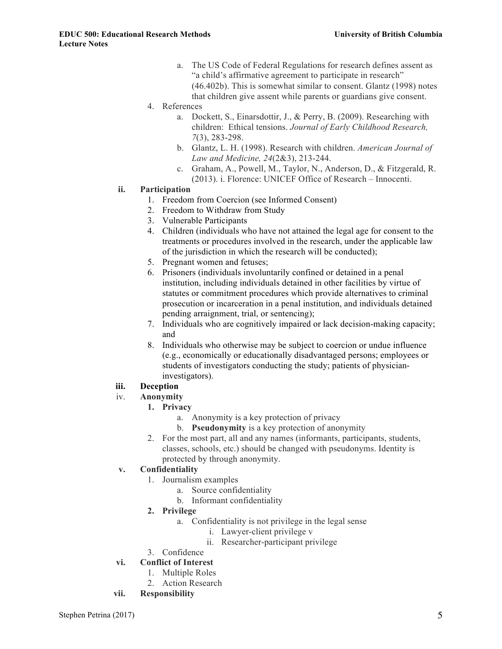- a. The US Code of Federal Regulations for research defines assent as "a child's affirmative agreement to participate in research" (46.402b). This is somewhat similar to consent. Glantz (1998) notes that children give assent while parents or guardians give consent.
- 4. References
	- a. Dockett, S., Einarsdottir, J., & Perry, B. (2009). Researching with children: Ethical tensions. *Journal of Early Childhood Research, 7*(3), 283-298.
	- b. Glantz, L. H. (1998). Research with children. *American Journal of Law and Medicine, 24*(2&3), 213-244.
	- c. Graham, A., Powell, M., Taylor, N., Anderson, D., & Fitzgerald, R. (2013). i. Florence: UNICEF Office of Research – Innocenti.

#### **ii. Participation**

- 1. Freedom from Coercion (see Informed Consent)
- 2. Freedom to Withdraw from Study
- 3. Vulnerable Participants
- 4. Children (individuals who have not attained the legal age for consent to the treatments or procedures involved in the research, under the applicable law of the jurisdiction in which the research will be conducted);
- 5. Pregnant women and fetuses;
- 6. Prisoners (individuals involuntarily confined or detained in a penal institution, including individuals detained in other facilities by virtue of statutes or commitment procedures which provide alternatives to criminal prosecution or incarceration in a penal institution, and individuals detained pending arraignment, trial, or sentencing);
- 7. Individuals who are cognitively impaired or lack decision-making capacity; and
- 8. Individuals who otherwise may be subject to coercion or undue influence (e.g., economically or educationally disadvantaged persons; employees or students of investigators conducting the study; patients of physicianinvestigators).

#### **iii. Deception**

- iv. **Anonymity**
	- **1. Privacy**
		- a. Anonymity is a key protection of privacy
		- b. **Pseudonymity** is a key protection of anonymity
	- 2. For the most part, all and any names (informants, participants, students, classes, schools, etc.) should be changed with pseudonyms. Identity is protected by through anonymity.

#### **v. Confidentiality**

- 1. Journalism examples
	- a. Source confidentiality
	- b. Informant confidentiality
- **2. Privilege**
	- a. Confidentiality is not privilege in the legal sense
		- i. Lawyer-client privilege v
		- ii. Researcher-participant privilege
- 3. Confidence
- **vi. Conflict of Interest**
	- 1. Multiple Roles
	- 2. Action Research
- **vii. Responsibility**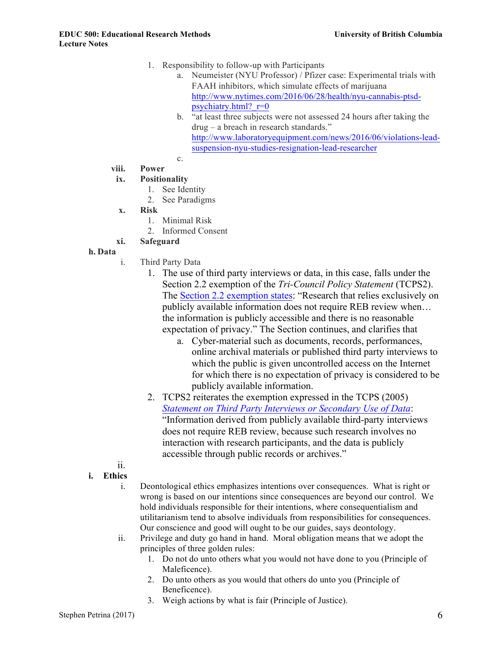- 1. Responsibility to follow-up with Participants
	- a. Neumeister (NYU Professor) / Pfizer case: Experimental trials with FAAH inhibitors, which simulate effects of marijuana http://www.nytimes.com/2016/06/28/health/nyu-cannabis-ptsdpsychiatry.html?  $r=0$
	- b. "at least three subjects were not assessed 24 hours after taking the drug – a breach in research standards." http://www.laboratoryequipment.com/news/2016/06/violations-leadsuspension-nyu-studies-resignation-lead-researcher
	- c.

# **viii. Power**

# **ix. Positionality**

- 1. See Identity
- 2. See Paradigms
- **x. Risk**
	- 1. Minimal Risk
	- 2. Informed Consent

# **xi. Safeguard**

# **h. Data**

- i. Third Party Data
	- 1. The use of third party interviews or data, in this case, falls under the Section 2.2 exemption of the *Tri-Council Policy Statement* (TCPS2). The Section 2.2 exemption states: "Research that relies exclusively on publicly available information does not require REB review when… the information is publicly accessible and there is no reasonable expectation of privacy." The Section continues, and clarifies that
		- a. Cyber-material such as documents, records, performances, online archival materials or published third party interviews to which the public is given uncontrolled access on the Internet for which there is no expectation of privacy is considered to be publicly available information.
	- 2. TCPS2 reiterates the exemption expressed in the TCPS (2005) *Statement on Third Party Interviews or Secondary Use of Data*: "Information derived from publicly available third-party interviews does not require REB review, because such research involves no interaction with research participants, and the data is publicly accessible through public records or archives."
- ii.
- **i. Ethics**
	- i. Deontological ethics emphasizes intentions over consequences. What is right or wrong is based on our intentions since consequences are beyond our control. We hold individuals responsible for their intentions, where consequentialism and utilitarianism tend to absolve individuals from responsibilities for consequences. Our conscience and good will ought to be our guides, says deontology.
	- ii. Privilege and duty go hand in hand. Moral obligation means that we adopt the principles of three golden rules:
		- 1. Do not do unto others what you would not have done to you (Principle of Maleficence).
		- 2. Do unto others as you would that others do unto you (Principle of Beneficence).
		- 3. Weigh actions by what is fair (Principle of Justice).